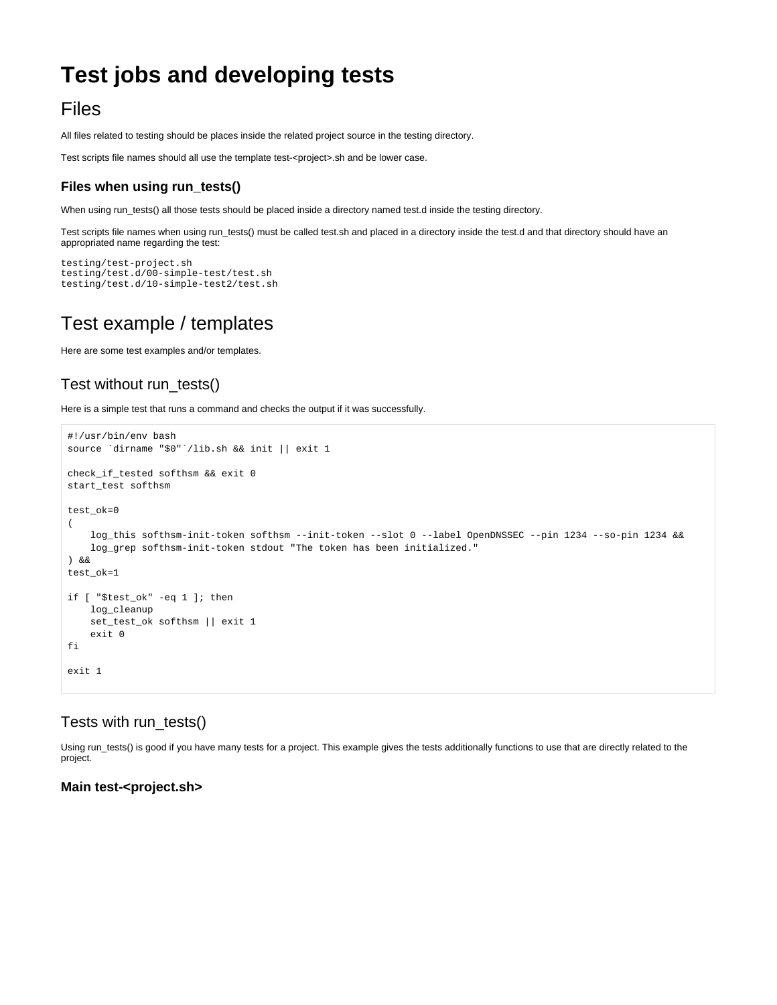# **Test jobs and developing tests**

## Files

All files related to testing should be places inside the related project source in the testing directory.

Test scripts file names should all use the template test-<project>.sh and be lower case.

## **Files when using run\_tests()**

When using run\_tests() all those tests should be placed inside a directory named test.d inside the testing directory.

Test scripts file names when using run\_tests() must be called test.sh and placed in a directory inside the test.d and that directory should have an appropriated name regarding the test:

```
testing/test-project.sh
testing/test.d/00-simple-test/test.sh
testing/test.d/10-simple-test2/test.sh
```
## Test example / templates

Here are some test examples and/or templates.

## Test without run\_tests()

Here is a simple test that runs a command and checks the output if it was successfully.

```
#!/usr/bin/env bash
source `dirname "$0"`/lib.sh && init || exit 1
check_if_tested softhsm && exit 0
start_test softhsm
test_ok=0
(
    log_this softhsm-init-token softhsm --init-token --slot 0 --label OpenDNSSEC --pin 1234 --so-pin 1234 &&
    log_grep softhsm-init-token stdout "The token has been initialized."
) &&
test_ok=1
if [ "$test_ok" -eq 1 ]; then
    log_cleanup
    set_test_ok softhsm || exit 1
    exit 0
fi
exit 1
```
### Tests with run\_tests()

Using run\_tests() is good if you have many tests for a project. This example gives the tests additionally functions to use that are directly related to the project.

#### **Main test-<project.sh>**